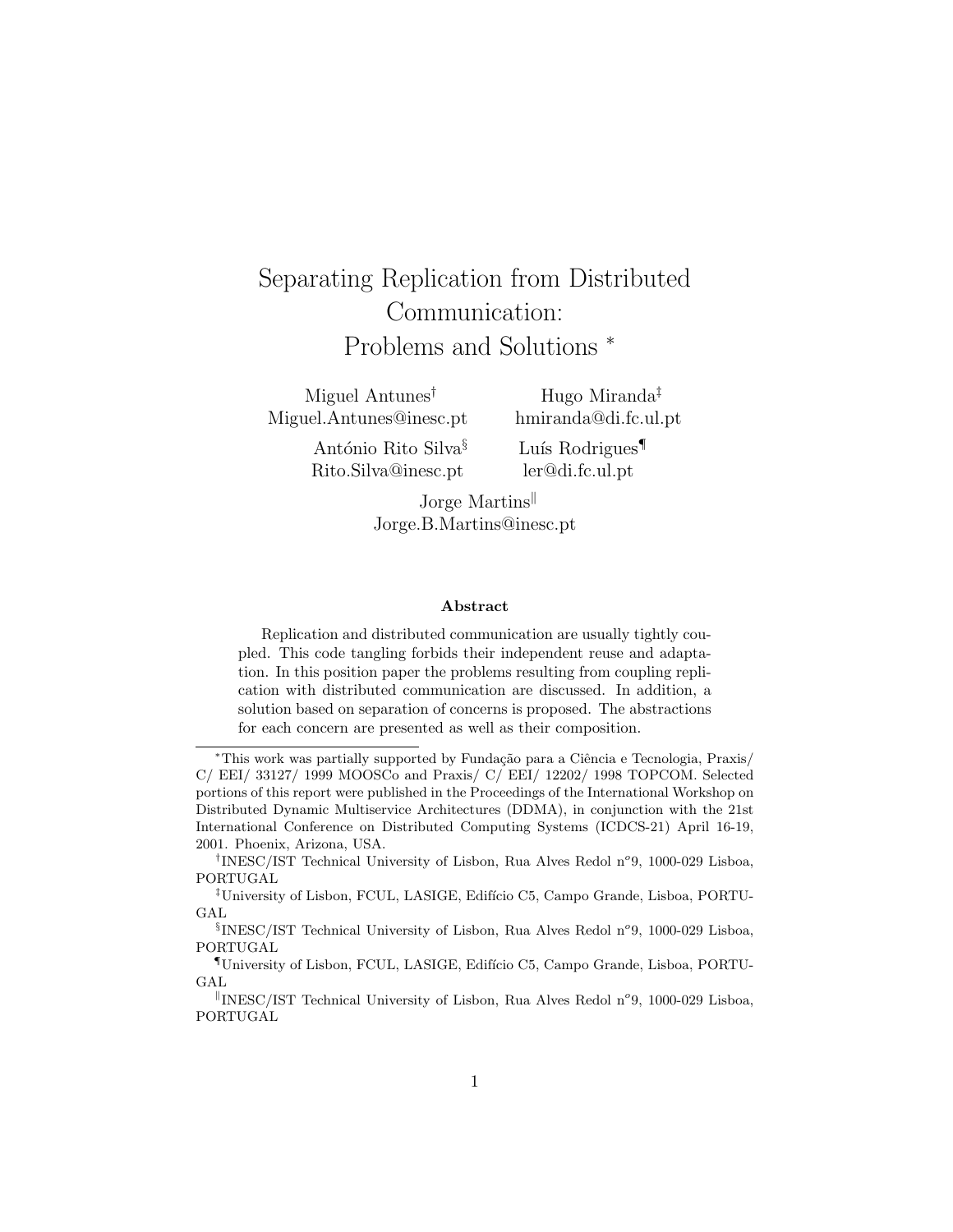# Separating Replication from Distributed Communication: Problems and Solutions <sup>∗</sup>

Miguel Antunes† Miguel.Antunes@inesc.pt

Hugo Miranda‡ hmiranda@di.fc.ul.pt

António Rito Silva<sup>§</sup> Rito.Silva@inesc.pt

Luís Rodrigues<sup>¶</sup> ler@di.fc.ul.pt

Jorge Martins Jorge.B.Martins@inesc.pt

#### Abstract

Replication and distributed communication are usually tightly coupled. This code tangling forbids their independent reuse and adaptation. In this position paper the problems resulting from coupling replication with distributed communication are discussed. In addition, a solution based on separation of concerns is proposed. The abstractions for each concern are presented as well as their composition.

<sup>\*</sup>This work was partially supported by Fundação para a Ciência e Tecnologia, Praxis/ C/ EEI/ 33127/ 1999 MOOSCo and Praxis/ C/ EEI/ 12202/ 1998 TOPCOM. Selected portions of this report were published in the Proceedings of the International Workshop on Distributed Dynamic Multiservice Architectures (DDMA), in conjunction with the 21st International Conference on Distributed Computing Systems (ICDCS-21) April 16-19, 2001. Phoenix, Arizona, USA.

<sup>&</sup>lt;sup>†</sup>INESC/IST Technical University of Lisbon, Rua Alves Redol n°9, 1000-029 Lisboa, PORTUGAL

<sup>&</sup>lt;sup>‡</sup>University of Lisbon, FCUL, LASIGE, Edifício C5, Campo Grande, Lisboa, PORTU-GAL

<sup>&</sup>lt;sup>§</sup>INESC/IST Technical University of Lisbon, Rua Alves Redol n°9, 1000-029 Lisboa, PORTUGAL

<sup>¶</sup>University of Lisbon, FCUL, LASIGE, Edif´ıcio C5, Campo Grande, Lisboa, PORTU-GAL

<sup>&</sup>lt;sup>||</sup>INESC/IST Technical University of Lisbon, Rua Alves Redol n°9, 1000-029 Lisboa, PORTUGAL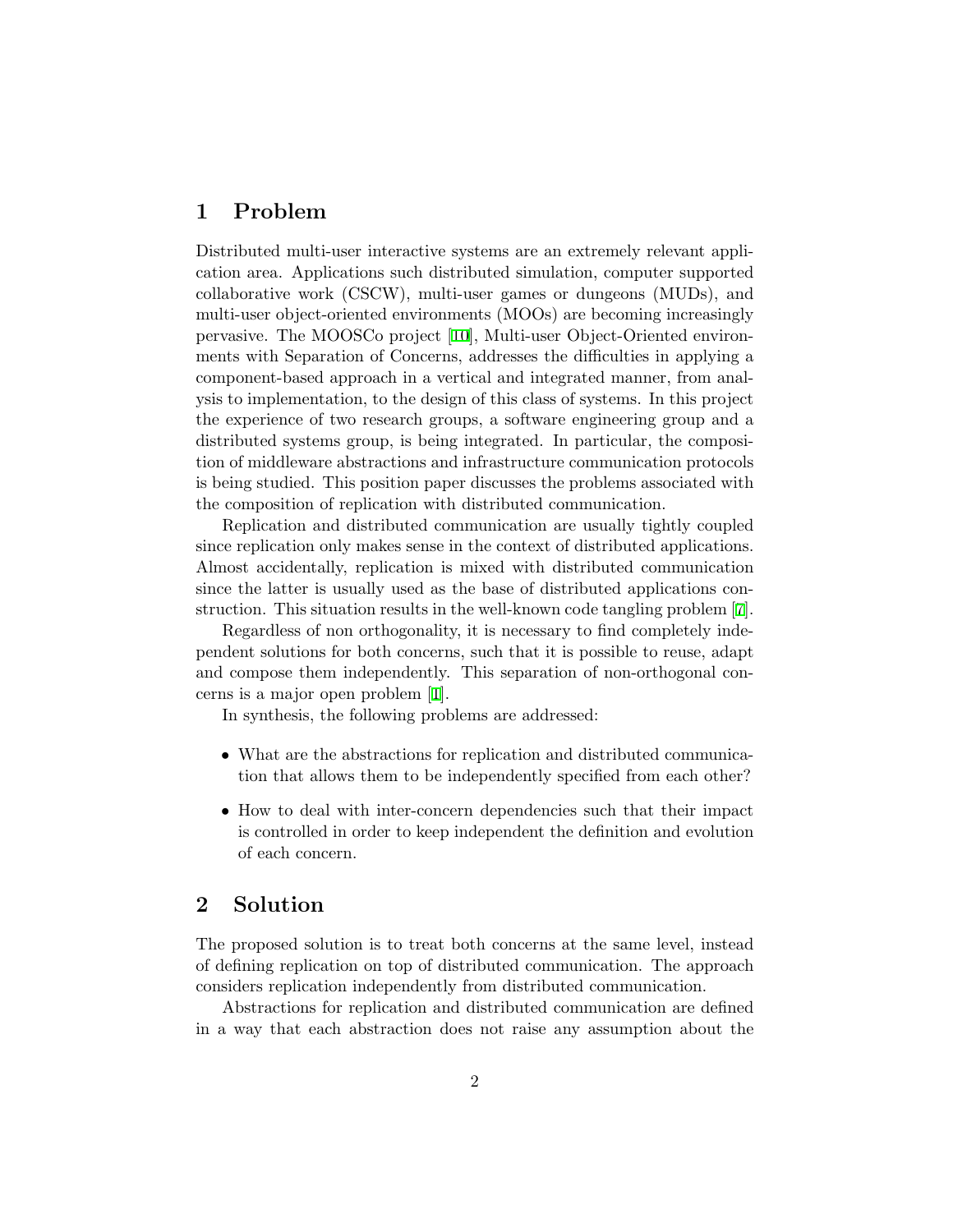# 1 Problem

Distributed multi-user interactive systems are an extremely relevant application area. Applications such distributed simulation, computer supported collaborative work (CSCW), multi-user games or dungeons (MUDs), and multi-user object-oriented environments (MOOs) are becoming increasingly pervasive. The MOOSCo project [\[10](#page-13-0)], Multi-user Object-Oriented environments with Separation of Concerns, addresses the difficulties in applying a component-based approach in a vertical and integrated manner, from analysis to implementation, to the design of this class of systems. In this project the experience of two research groups, a software engineering group and a distributed systems group, is being integrated. In particular, the composition of middleware abstractions and infrastructure communication protocols is being studied. This position paper discusses the problems associated with the composition of replication with distributed communication.

Replication and distributed communication are usually tightly coupled since replication only makes sense in the context of distributed applications. Almost accidentally, replication is mixed with distributed communication since the latter is usually used as the base of distributed applications construction. This situation results in the well-known code tangling problem[[7](#page-12-0)].

Regardless of non orthogonality, it is necessary to find completely independent solutions for both concerns, such that it is possible to reuse, adapt and compose them independently. This separation of non-orthogonal concerns is a major open problem[[1\]](#page-12-1).

In synthesis, the following problems are addressed:

- What are the abstractions for replication and distributed communication that allows them to be independently specified from each other?
- How to deal with inter-concern dependencies such that their impact is controlled in order to keep independent the definition and evolution of each concern.

# 2 Solution

The proposed solution is to treat both concerns at the same level, instead of defining replication on top of distributed communication. The approach considers replication independently from distributed communication.

Abstractions for replication and distributed communication are defined in a way that each abstraction does not raise any assumption about the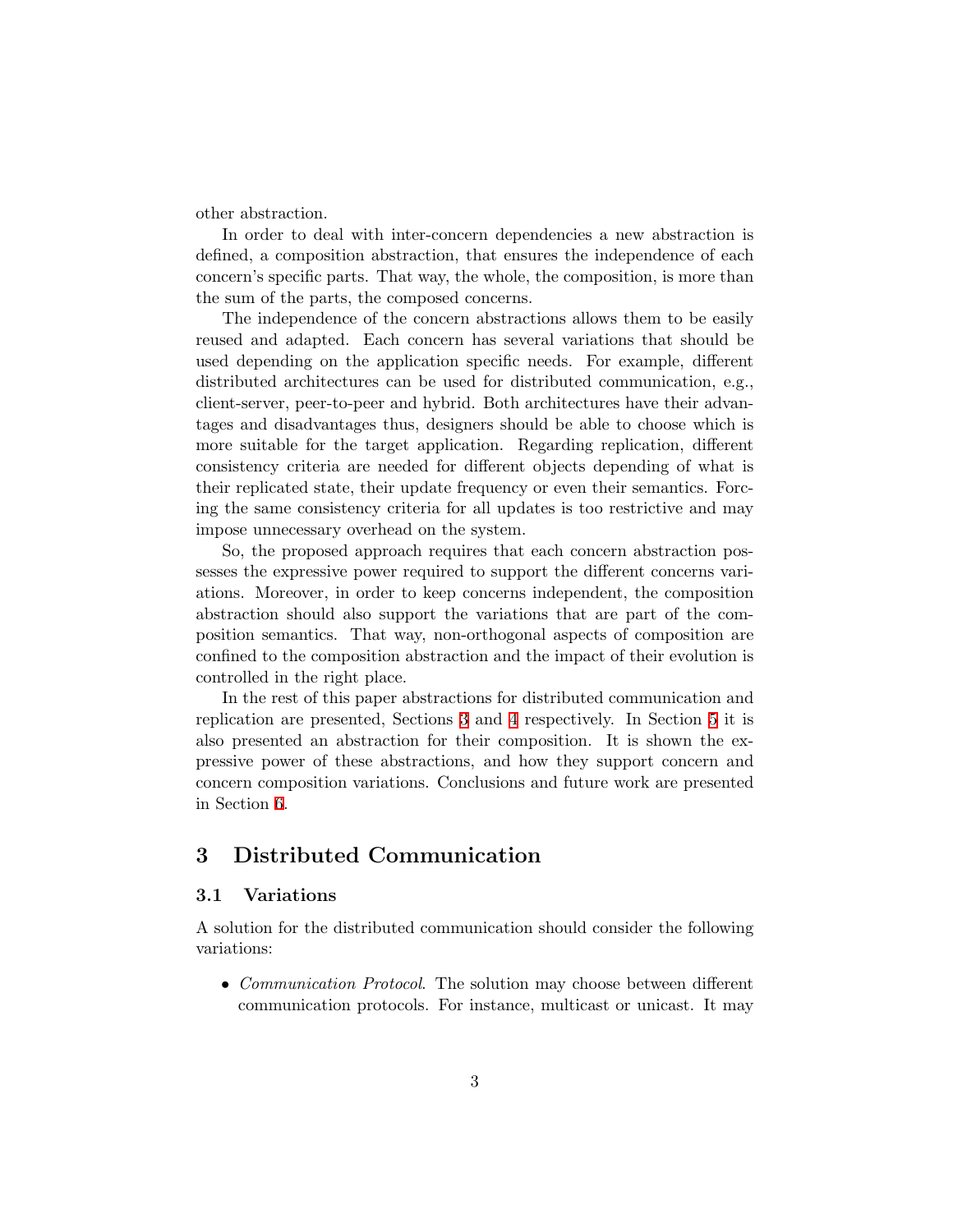other abstraction.

In order to deal with inter-concern dependencies a new abstraction is defined, a composition abstraction, that ensures the independence of each concern's specific parts. That way, the whole, the composition, is more than the sum of the parts, the composed concerns.

The independence of the concern abstractions allows them to be easily reused and adapted. Each concern has several variations that should be used depending on the application specific needs. For example, different distributed architectures can be used for distributed communication, e.g., client-server, peer-to-peer and hybrid. Both architectures have their advantages and disadvantages thus, designers should be able to choose which is more suitable for the target application. Regarding replication, different consistency criteria are needed for different objects depending of what is their replicated state, their update frequency or even their semantics. Forcing the same consistency criteria for all updates is too restrictive and may impose unnecessary overhead on the system.

So, the proposed approach requires that each concern abstraction possesses the expressive power required to support the different concerns variations. Moreover, in order to keep concerns independent, the composition abstraction should also support the variations that are part of the composition semantics. That way, non-orthogonal aspects of composition are confined to the composition abstraction and the impact of their evolution is controlled in the right place.

In the rest of this paper abstractions for distributed communication and replication are presented, Sections [3](#page-2-0) and [4](#page-5-0) respectively. In Section [5](#page-8-0) it is also presented an abstraction for their composition. It is shown the expressive power of these abstractions, and how they support concern and concern composition variations. Conclusions and future work are presented in Section [6](#page-11-0).

# <span id="page-2-0"></span>3 Distributed Communication

## 3.1 Variations

A solution for the distributed communication should consider the following variations:

• Communication Protocol. The solution may choose between different communication protocols. For instance, multicast or unicast. It may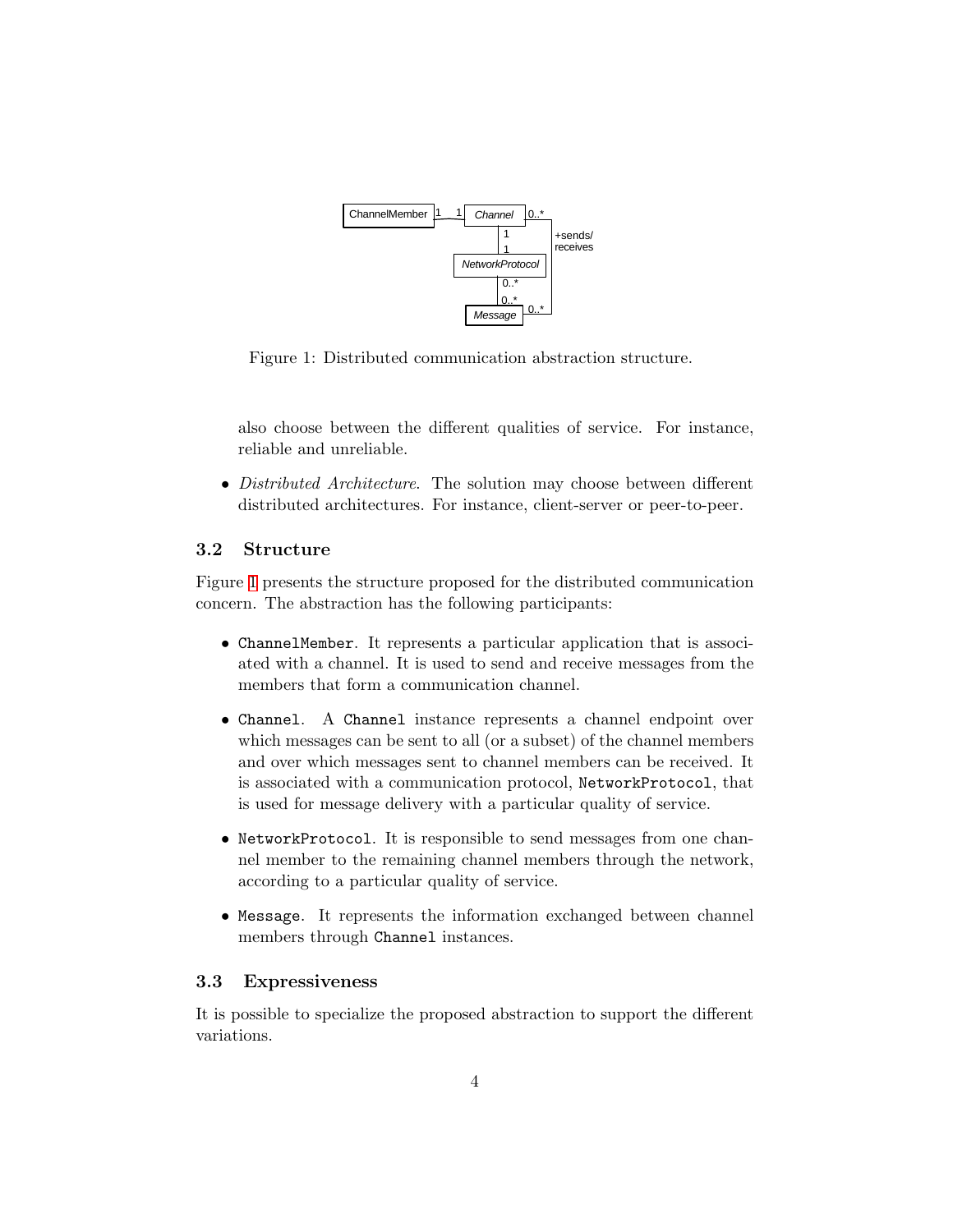

<span id="page-3-0"></span>Figure 1: Distributed communication abstraction structure.

also choose between the different qualities of service. For instance, reliable and unreliable.

• Distributed Architecture. The solution may choose between different distributed architectures. For instance, client-server or peer-to-peer.

## 3.2 Structure

Figure [1](#page-3-0) presents the structure proposed for the distributed communication concern. The abstraction has the following participants:

- ChannelMember. It represents a particular application that is associated with a channel. It is used to send and receive messages from the members that form a communication channel.
- Channel. A Channel instance represents a channel endpoint over which messages can be sent to all (or a subset) of the channel members and over which messages sent to channel members can be received. It is associated with a communication protocol, NetworkProtocol, that is used for message delivery with a particular quality of service.
- NetworkProtocol. It is responsible to send messages from one channel member to the remaining channel members through the network, according to a particular quality of service.
- Message. It represents the information exchanged between channel members through Channel instances.

## 3.3 Expressiveness

It is possible to specialize the proposed abstraction to support the different variations.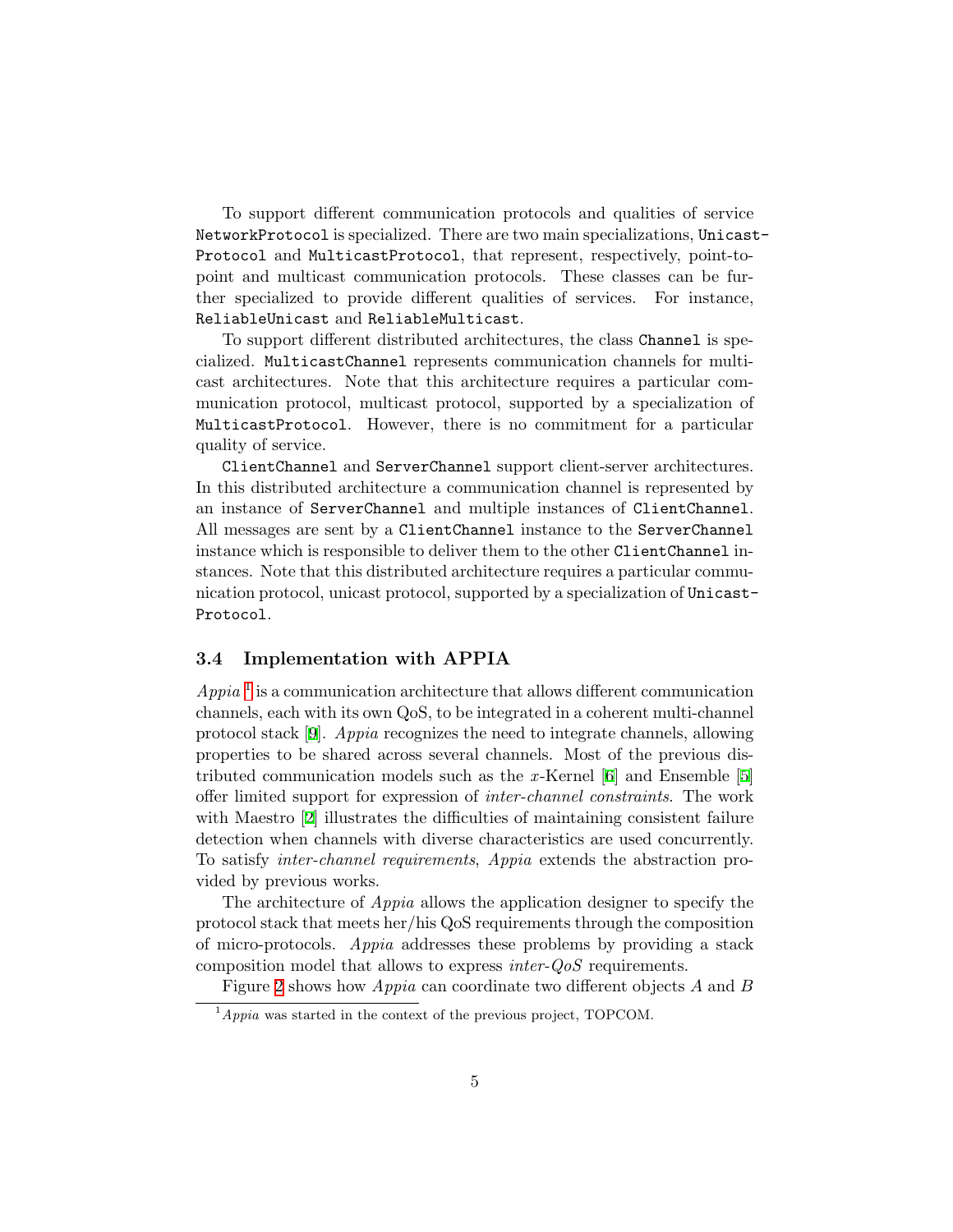To support different communication protocols and qualities of service NetworkProtocol is specialized. There are two main specializations, Unicast-Protocol and MulticastProtocol, that represent, respectively, point-topoint and multicast communication protocols. These classes can be further specialized to provide different qualities of services. For instance, ReliableUnicast and ReliableMulticast.

To support different distributed architectures, the class Channel is specialized. MulticastChannel represents communication channels for multicast architectures. Note that this architecture requires a particular communication protocol, multicast protocol, supported by a specialization of MulticastProtocol. However, there is no commitment for a particular quality of service.

ClientChannel and ServerChannel support client-server architectures. In this distributed architecture a communication channel is represented by an instance of ServerChannel and multiple instances of ClientChannel. All messages are sent by a ClientChannel instance to the ServerChannel instance which is responsible to deliver them to the other ClientChannel instances. Note that this distributed architecture requires a particular communication protocol, unicast protocol, supported by a specialization of Unicast-Protocol.

## 3.4 Implementation with APPIA

 $Appia<sup>1</sup>$  $Appia<sup>1</sup>$  $Appia<sup>1</sup>$  is a communication architecture that allows different communication channels, each with its own QoS, to be integrated in a coherent multi-channel protocol stack [\[9\]](#page-13-1). Appia recognizes the need to integrate channels, allowing properties to be shared across several channels. Most of the previous distributedcommunication models such as the x-Kernel  $[6]$  and Ensemble  $[5]$  $[5]$  $[5]$ offer limited support for expression of inter-channel constraints. The work with Maestro [\[2\]](#page-12-4) illustrates the difficulties of maintaining consistent failure detection when channels with diverse characteristics are used concurrently. To satisfy inter-channel requirements, Appia extends the abstraction provided by previous works.

The architecture of Appia allows the application designer to specify the protocol stack that meets her/his QoS requirements through the composition of micro-protocols. Appia addresses these problems by providing a stack composition model that allows to express inter-QoS requirements.

Figure [2](#page-5-1) shows how Appia can coordinate two different objects A and B

<span id="page-4-0"></span> $1$ <sup>1</sup>Appia was started in the context of the previous project, TOPCOM.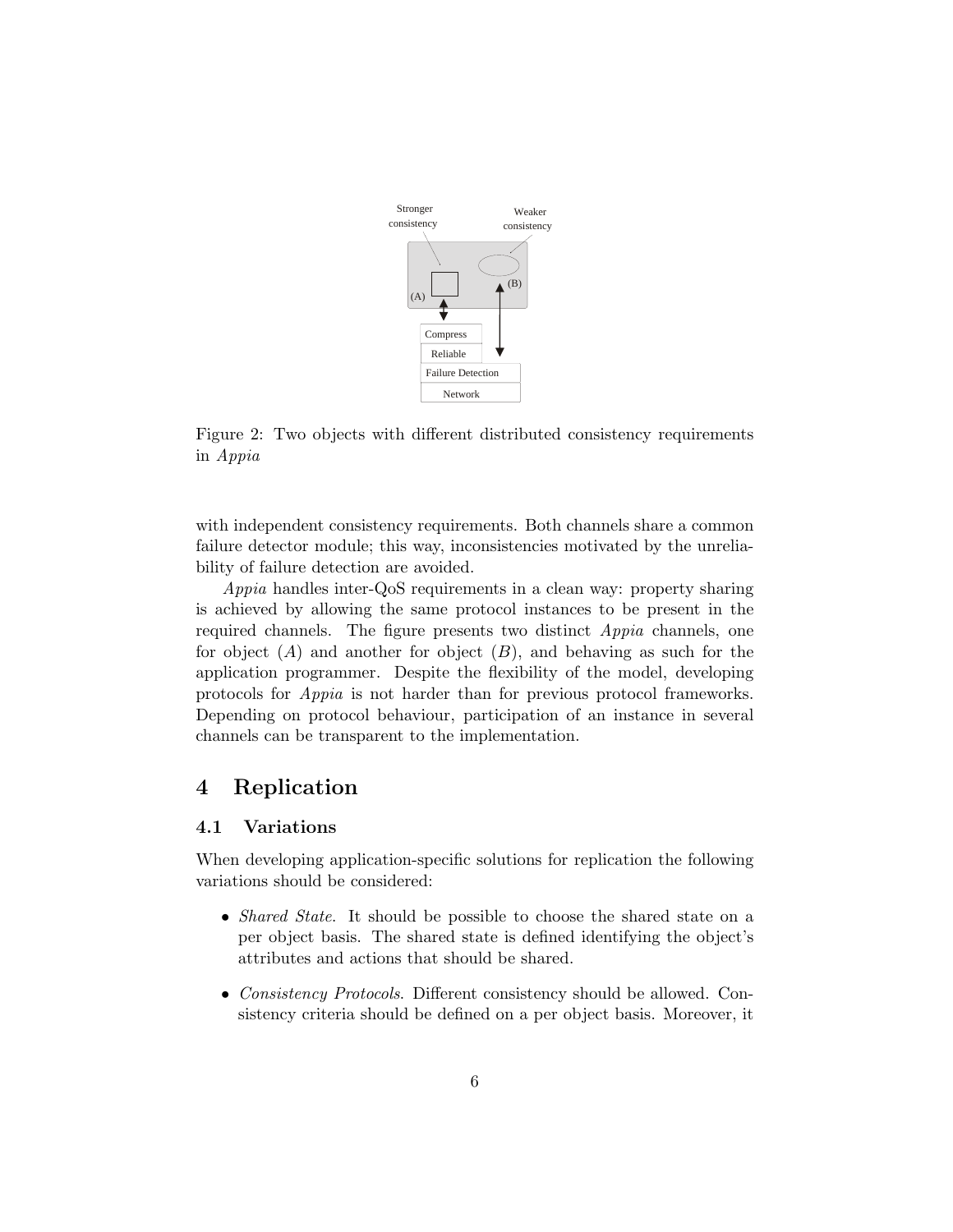

<span id="page-5-1"></span>Figure 2: Two objects with different distributed consistency requirements in Appia

with independent consistency requirements. Both channels share a common failure detector module; this way, inconsistencies motivated by the unreliability of failure detection are avoided.

Appia handles inter-QoS requirements in a clean way: property sharing is achieved by allowing the same protocol instances to be present in the required channels. The figure presents two distinct Appia channels, one for object  $(A)$  and another for object  $(B)$ , and behaving as such for the application programmer. Despite the flexibility of the model, developing protocols for Appia is not harder than for previous protocol frameworks. Depending on protocol behaviour, participation of an instance in several channels can be transparent to the implementation.

# <span id="page-5-0"></span>4 Replication

## 4.1 Variations

When developing application-specific solutions for replication the following variations should be considered:

- *Shared State*. It should be possible to choose the shared state on a per object basis. The shared state is defined identifying the object's attributes and actions that should be shared.
- Consistency Protocols. Different consistency should be allowed. Consistency criteria should be defined on a per object basis. Moreover, it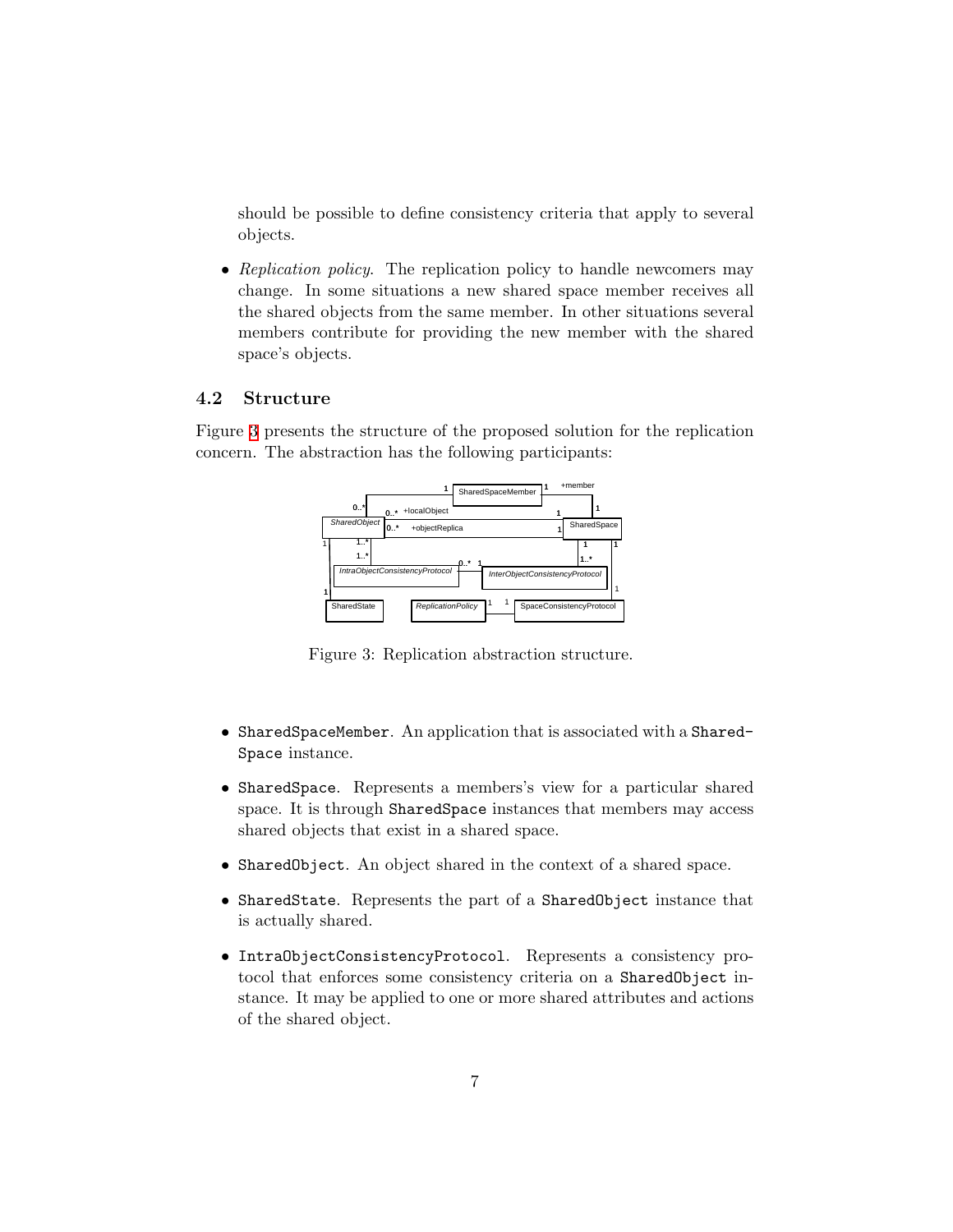should be possible to define consistency criteria that apply to several objects.

• Replication policy. The replication policy to handle newcomers may change. In some situations a new shared space member receives all the shared objects from the same member. In other situations several members contribute for providing the new member with the shared space's objects.

#### 4.2 Structure

Figure [3](#page-6-0) presents the structure of the proposed solution for the replication concern. The abstraction has the following participants:



<span id="page-6-0"></span>Figure 3: Replication abstraction structure.

- SharedSpaceMember. An application that is associated with a Shared-Space instance.
- SharedSpace. Represents a members's view for a particular shared space. It is through SharedSpace instances that members may access shared objects that exist in a shared space.
- SharedObject. An object shared in the context of a shared space.
- SharedState. Represents the part of a SharedObject instance that is actually shared.
- IntraObjectConsistencyProtocol. Represents a consistency protocol that enforces some consistency criteria on a SharedObject instance. It may be applied to one or more shared attributes and actions of the shared object.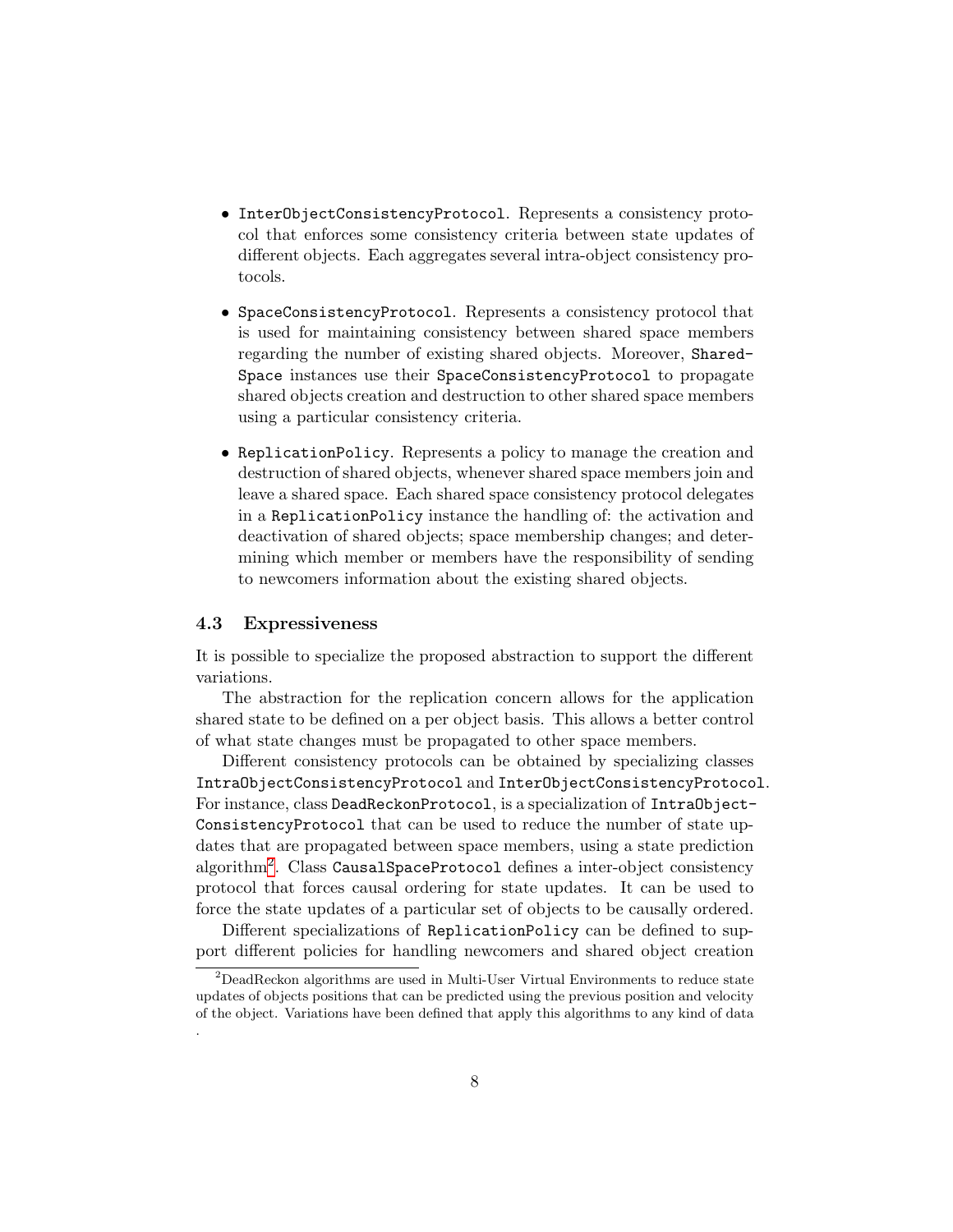- InterObjectConsistencyProtocol. Represents a consistency protocol that enforces some consistency criteria between state updates of different objects. Each aggregates several intra-object consistency protocols.
- SpaceConsistencyProtocol. Represents a consistency protocol that is used for maintaining consistency between shared space members regarding the number of existing shared objects. Moreover, Shared-Space instances use their SpaceConsistencyProtocol to propagate shared objects creation and destruction to other shared space members using a particular consistency criteria.
- ReplicationPolicy. Represents a policy to manage the creation and destruction of shared objects, whenever shared space members join and leave a shared space. Each shared space consistency protocol delegates in a ReplicationPolicy instance the handling of: the activation and deactivation of shared objects; space membership changes; and determining which member or members have the responsibility of sending to newcomers information about the existing shared objects.

#### <span id="page-7-1"></span>4.3 Expressiveness

It is possible to specialize the proposed abstraction to support the different variations.

The abstraction for the replication concern allows for the application shared state to be defined on a per object basis. This allows a better control of what state changes must be propagated to other space members.

Different consistency protocols can be obtained by specializing classes IntraObjectConsistencyProtocol and InterObjectConsistencyProtocol. For instance, class DeadReckonProtocol, is a specialization of IntraObject-ConsistencyProtocol that can be used to reduce the number of state updates that are propagated between space members, using a state prediction algorithm<sup>[2](#page-7-0)</sup>. Class Causa1SpaceProtocol defines a inter-object consistency protocol that forces causal ordering for state updates. It can be used to force the state updates of a particular set of objects to be causally ordered.

Different specializations of ReplicationPolicy can be defined to support different policies for handling newcomers and shared object creation

<span id="page-7-0"></span><sup>&</sup>lt;sup>2</sup>DeadReckon algorithms are used in Multi-User Virtual Environments to reduce state updates of objects positions that can be predicted using the previous position and velocity of the object. Variations have been defined that apply this algorithms to any kind of data .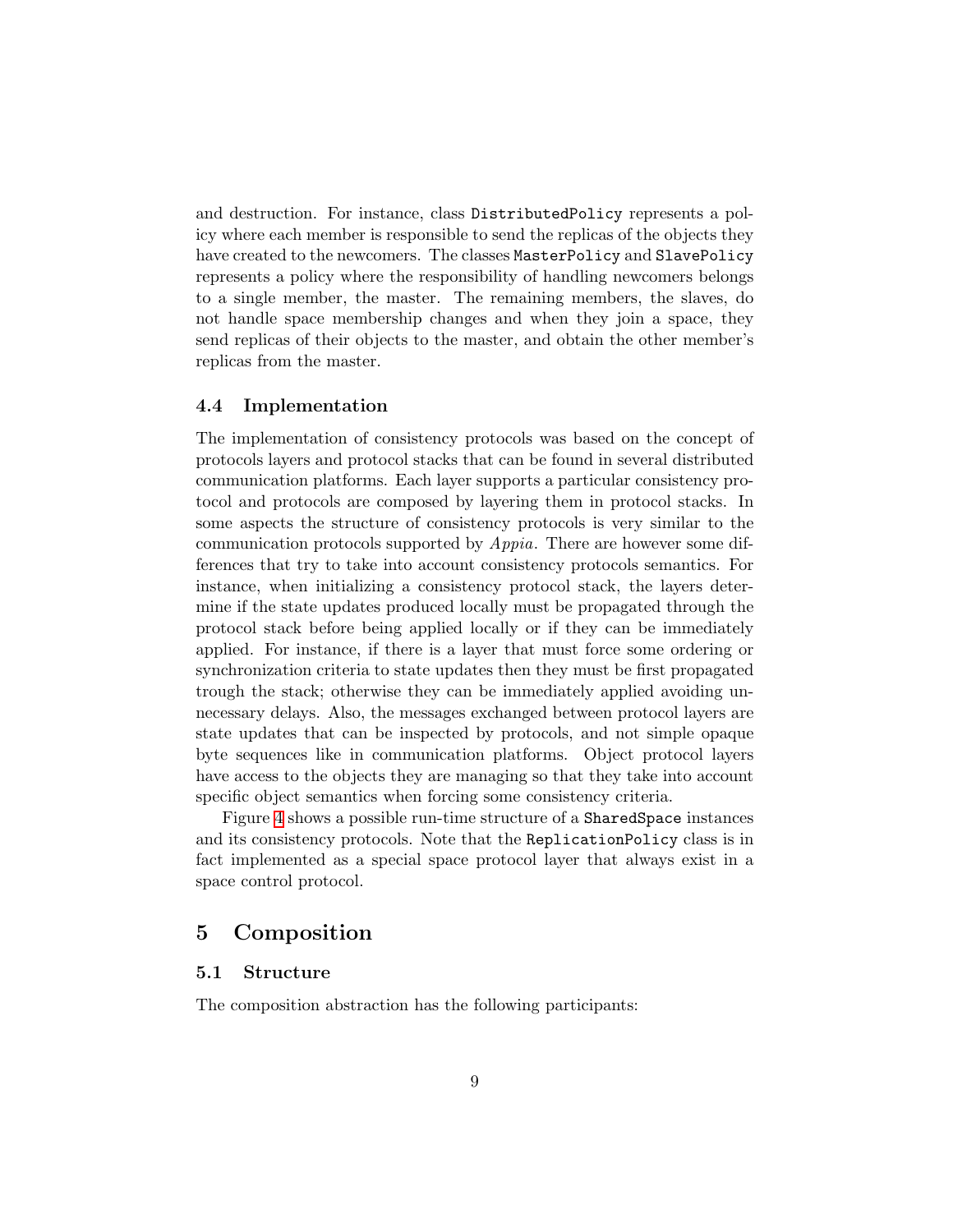and destruction. For instance, class DistributedPolicy represents a policy where each member is responsible to send the replicas of the objects they have created to the newcomers. The classes MasterPolicy and SlavePolicy represents a policy where the responsibility of handling newcomers belongs to a single member, the master. The remaining members, the slaves, do not handle space membership changes and when they join a space, they send replicas of their objects to the master, and obtain the other member's replicas from the master.

#### <span id="page-8-1"></span>4.4 Implementation

The implementation of consistency protocols was based on the concept of protocols layers and protocol stacks that can be found in several distributed communication platforms. Each layer supports a particular consistency protocol and protocols are composed by layering them in protocol stacks. In some aspects the structure of consistency protocols is very similar to the communication protocols supported by Appia. There are however some differences that try to take into account consistency protocols semantics. For instance, when initializing a consistency protocol stack, the layers determine if the state updates produced locally must be propagated through the protocol stack before being applied locally or if they can be immediately applied. For instance, if there is a layer that must force some ordering or synchronization criteria to state updates then they must be first propagated trough the stack; otherwise they can be immediately applied avoiding unnecessary delays. Also, the messages exchanged between protocol layers are state updates that can be inspected by protocols, and not simple opaque byte sequences like in communication platforms. Object protocol layers have access to the objects they are managing so that they take into account specific object semantics when forcing some consistency criteria.

Figure [4](#page-9-0) shows a possible run-time structure of a SharedSpace instances and its consistency protocols. Note that the ReplicationPolicy class is in fact implemented as a special space protocol layer that always exist in a space control protocol.

## <span id="page-8-0"></span>5 Composition

## 5.1 Structure

The composition abstraction has the following participants: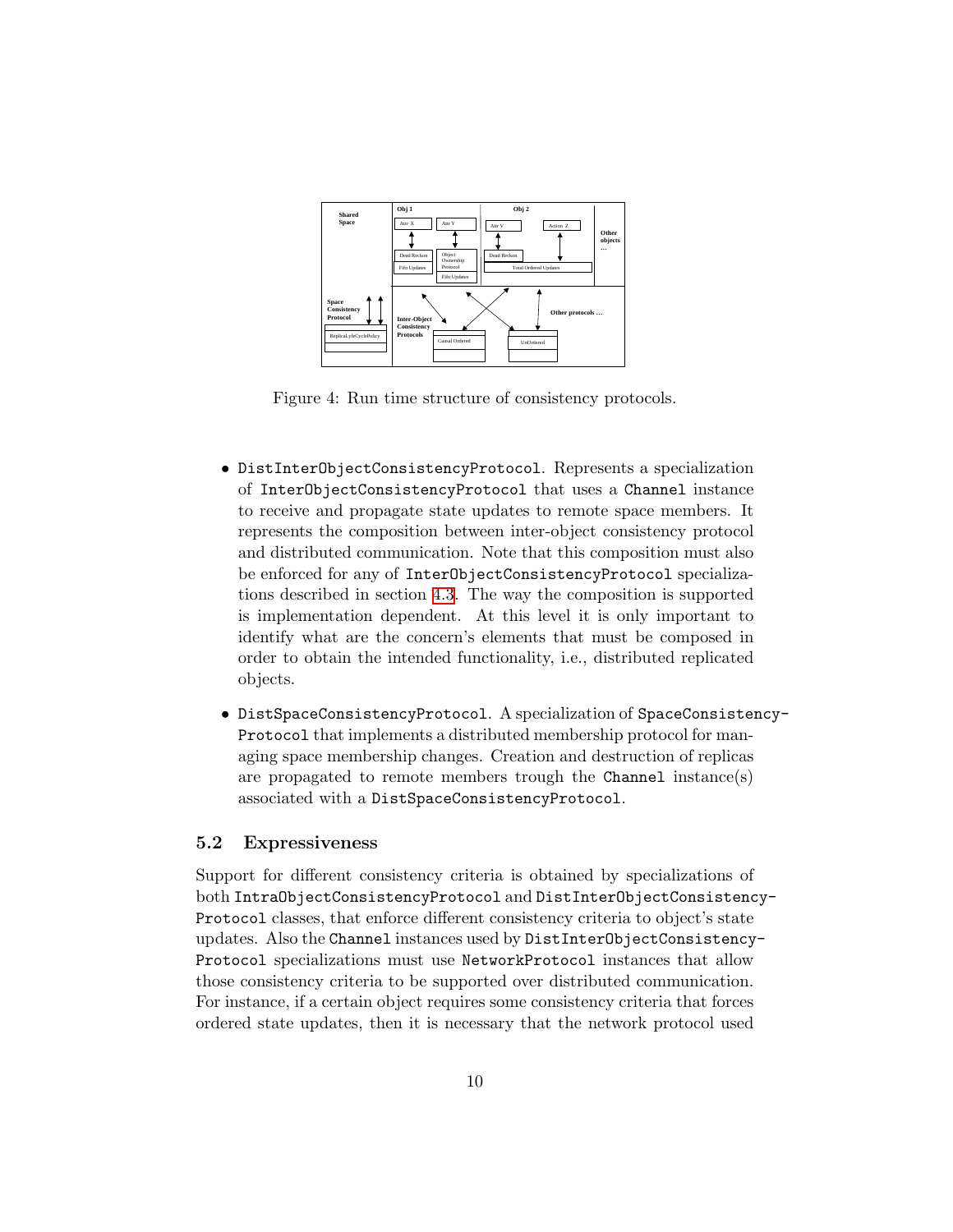

<span id="page-9-0"></span>Figure 4: Run time structure of consistency protocols.

- DistInterObjectConsistencyProtocol. Represents a specialization of InterObjectConsistencyProtocol that uses a Channel instance to receive and propagate state updates to remote space members. It represents the composition between inter-object consistency protocol and distributed communication. Note that this composition must also be enforced for any of InterObjectConsistencyProtocol specializations described in section [4.3.](#page-7-1) The way the composition is supported is implementation dependent. At this level it is only important to identify what are the concern's elements that must be composed in order to obtain the intended functionality, i.e., distributed replicated objects.
- DistSpaceConsistencyProtocol. A specialization of SpaceConsistency-Protocol that implements a distributed membership protocol for managing space membership changes. Creation and destruction of replicas are propagated to remote members trough the Channel instance(s) associated with a DistSpaceConsistencyProtocol.

#### 5.2 Expressiveness

Support for different consistency criteria is obtained by specializations of both IntraObjectConsistencyProtocol and DistInterObjectConsistency-Protocol classes, that enforce different consistency criteria to object's state updates. Also the Channel instances used by DistInterObjectConsistency-Protocol specializations must use NetworkProtocol instances that allow those consistency criteria to be supported over distributed communication. For instance, if a certain object requires some consistency criteria that forces ordered state updates, then it is necessary that the network protocol used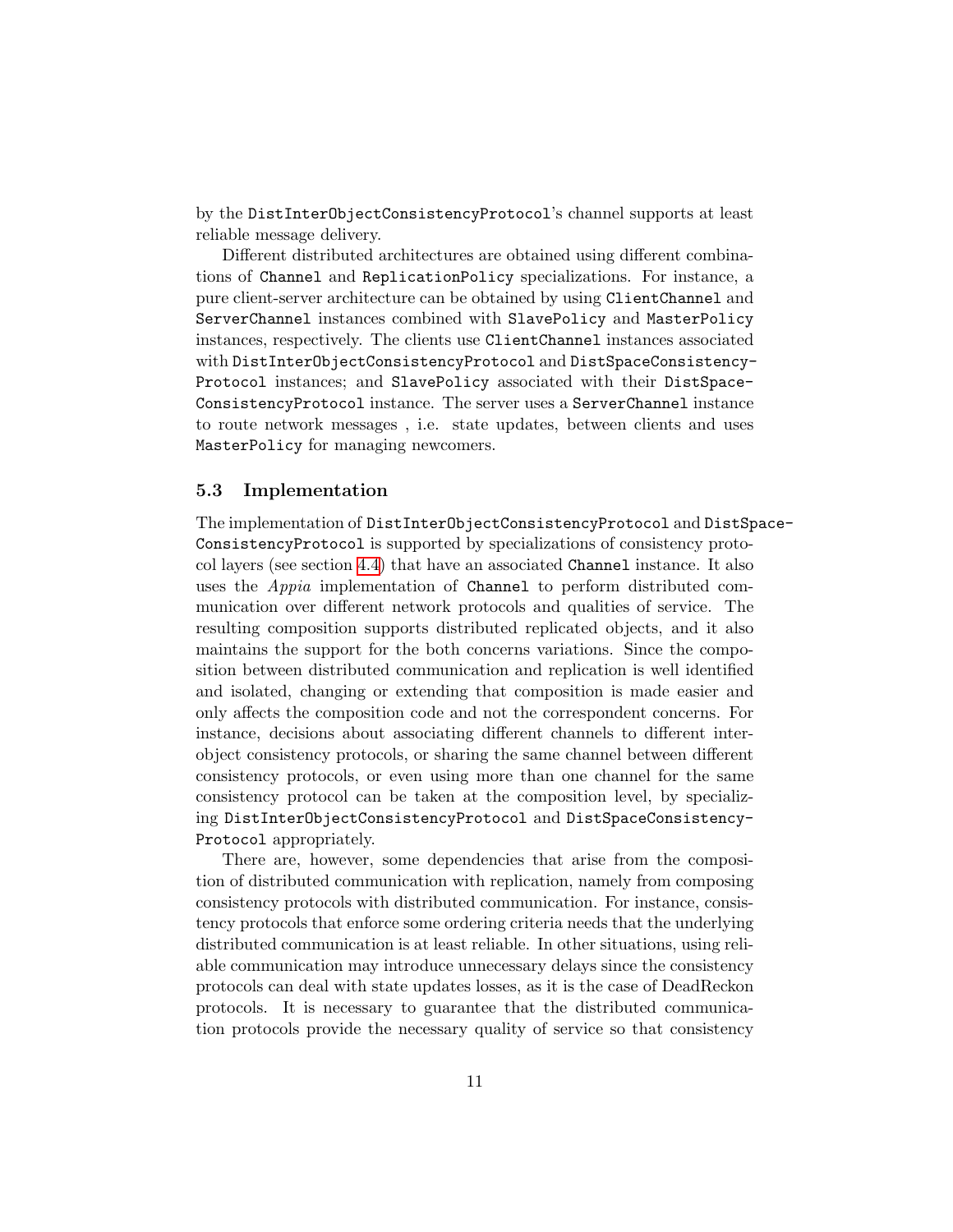by the DistInterObjectConsistencyProtocol's channel supports at least reliable message delivery.

Different distributed architectures are obtained using different combinations of Channel and ReplicationPolicy specializations. For instance, a pure client-server architecture can be obtained by using ClientChannel and ServerChannel instances combined with SlavePolicy and MasterPolicy instances, respectively. The clients use ClientChannel instances associated with DistInterObjectConsistencyProtocol and DistSpaceConsistency-Protocol instances; and SlavePolicy associated with their DistSpace-ConsistencyProtocol instance. The server uses a ServerChannel instance to route network messages , i.e. state updates, between clients and uses MasterPolicy for managing newcomers.

#### 5.3 Implementation

The implementation of DistInterObjectConsistencyProtocol and DistSpace-ConsistencyProtocol is supported by specializations of consistency protocol layers (see section [4.4\)](#page-8-1) that have an associated Channel instance. It also uses the Appia implementation of Channel to perform distributed communication over different network protocols and qualities of service. The resulting composition supports distributed replicated objects, and it also maintains the support for the both concerns variations. Since the composition between distributed communication and replication is well identified and isolated, changing or extending that composition is made easier and only affects the composition code and not the correspondent concerns. For instance, decisions about associating different channels to different interobject consistency protocols, or sharing the same channel between different consistency protocols, or even using more than one channel for the same consistency protocol can be taken at the composition level, by specializing DistInterObjectConsistencyProtocol and DistSpaceConsistency-Protocol appropriately.

There are, however, some dependencies that arise from the composition of distributed communication with replication, namely from composing consistency protocols with distributed communication. For instance, consistency protocols that enforce some ordering criteria needs that the underlying distributed communication is at least reliable. In other situations, using reliable communication may introduce unnecessary delays since the consistency protocols can deal with state updates losses, as it is the case of DeadReckon protocols. It is necessary to guarantee that the distributed communication protocols provide the necessary quality of service so that consistency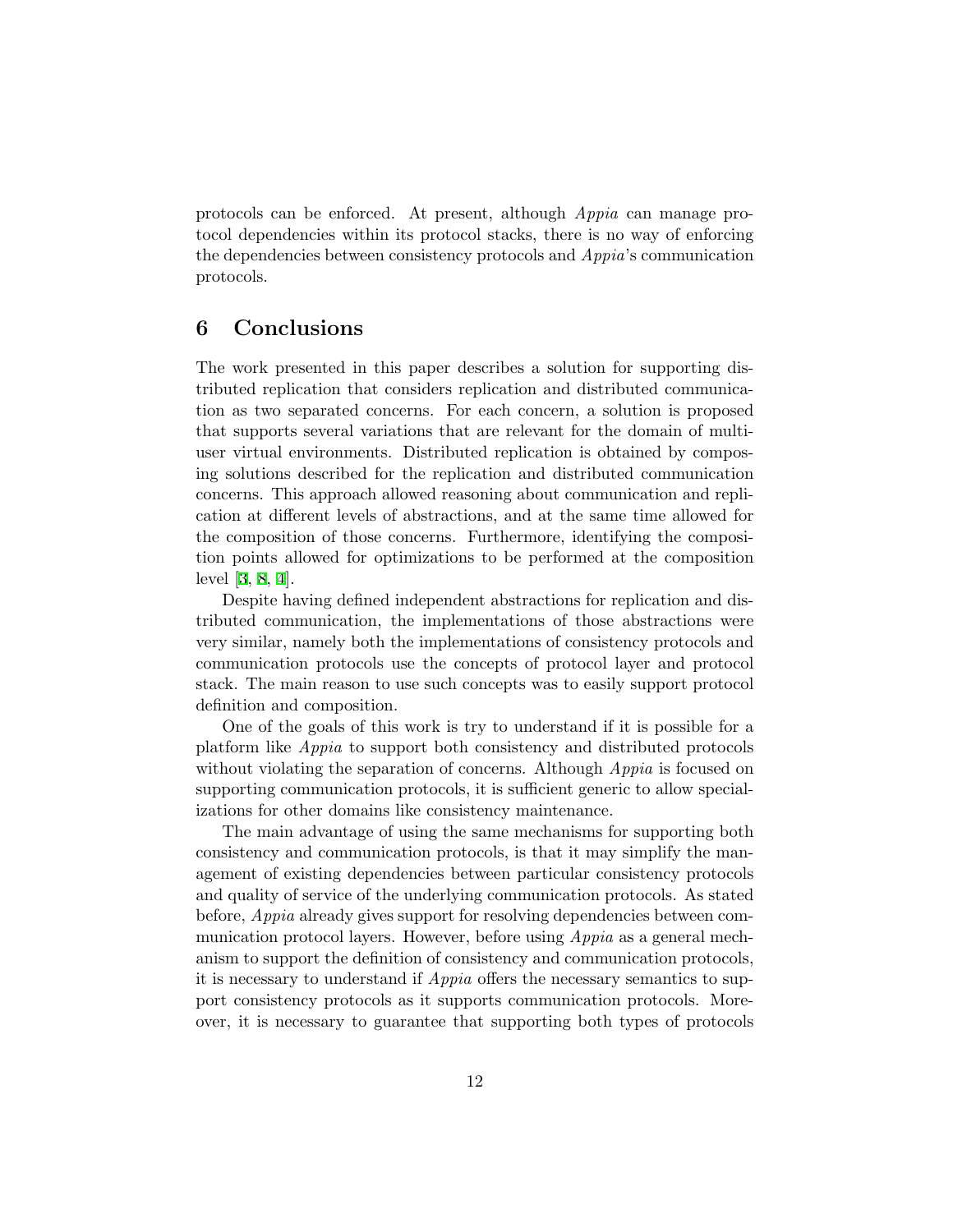protocols can be enforced. At present, although Appia can manage protocol dependencies within its protocol stacks, there is no way of enforcing the dependencies between consistency protocols and Appia's communication protocols.

## <span id="page-11-0"></span>6 Conclusions

The work presented in this paper describes a solution for supporting distributed replication that considers replication and distributed communication as two separated concerns. For each concern, a solution is proposed that supports several variations that are relevant for the domain of multiuser virtual environments. Distributed replication is obtained by composing solutions described for the replication and distributed communication concerns. This approach allowed reasoning about communication and replication at different levels of abstractions, and at the same time allowed for the composition of those concerns. Furthermore, identifying the composition points allowed for optimizations to be performed at the composition level[[3](#page-12-5), [8](#page-13-2), [4](#page-12-6)].

Despite having defined independent abstractions for replication and distributed communication, the implementations of those abstractions were very similar, namely both the implementations of consistency protocols and communication protocols use the concepts of protocol layer and protocol stack. The main reason to use such concepts was to easily support protocol definition and composition.

One of the goals of this work is try to understand if it is possible for a platform like Appia to support both consistency and distributed protocols without violating the separation of concerns. Although *Appia* is focused on supporting communication protocols, it is sufficient generic to allow specializations for other domains like consistency maintenance.

The main advantage of using the same mechanisms for supporting both consistency and communication protocols, is that it may simplify the management of existing dependencies between particular consistency protocols and quality of service of the underlying communication protocols. As stated before, *Appia* already gives support for resolving dependencies between communication protocol layers. However, before using Appia as a general mechanism to support the definition of consistency and communication protocols, it is necessary to understand if Appia offers the necessary semantics to support consistency protocols as it supports communication protocols. Moreover, it is necessary to guarantee that supporting both types of protocols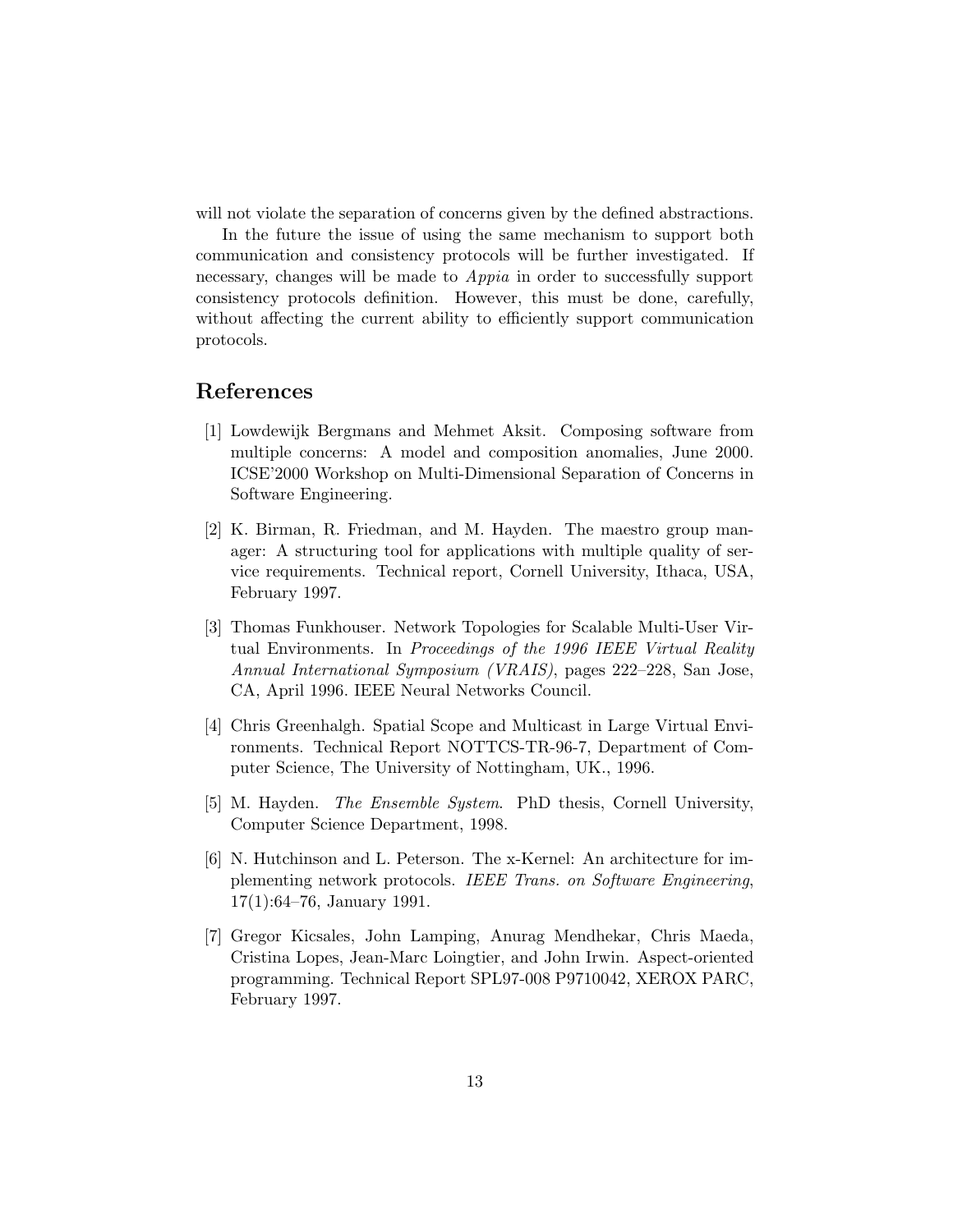will not violate the separation of concerns given by the defined abstractions.

In the future the issue of using the same mechanism to support both communication and consistency protocols will be further investigated. If necessary, changes will be made to *Appia* in order to successfully support consistency protocols definition. However, this must be done, carefully, without affecting the current ability to efficiently support communication protocols.

# References

- <span id="page-12-1"></span>[1] Lowdewijk Bergmans and Mehmet Aksit. Composing software from multiple concerns: A model and composition anomalies, June 2000. ICSE'2000 Workshop on Multi-Dimensional Separation of Concerns in Software Engineering.
- <span id="page-12-4"></span>[2] K. Birman, R. Friedman, and M. Hayden. The maestro group manager: A structuring tool for applications with multiple quality of service requirements. Technical report, Cornell University, Ithaca, USA, February 1997.
- <span id="page-12-5"></span>[3] Thomas Funkhouser. Network Topologies for Scalable Multi-User Virtual Environments. In Proceedings of the 1996 IEEE Virtual Reality Annual International Symposium (VRAIS), pages 222–228, San Jose, CA, April 1996. IEEE Neural Networks Council.
- <span id="page-12-6"></span>[4] Chris Greenhalgh. Spatial Scope and Multicast in Large Virtual Environments. Technical Report NOTTCS-TR-96-7, Department of Computer Science, The University of Nottingham, UK., 1996.
- <span id="page-12-3"></span>[5] M. Hayden. The Ensemble System. PhD thesis, Cornell University, Computer Science Department, 1998.
- <span id="page-12-2"></span>[6] N. Hutchinson and L. Peterson. The x-Kernel: An architecture for implementing network protocols. IEEE Trans. on Software Engineering, 17(1):64–76, January 1991.
- <span id="page-12-0"></span>[7] Gregor Kicsales, John Lamping, Anurag Mendhekar, Chris Maeda, Cristina Lopes, Jean-Marc Loingtier, and John Irwin. Aspect-oriented programming. Technical Report SPL97-008 P9710042, XEROX PARC, February 1997.